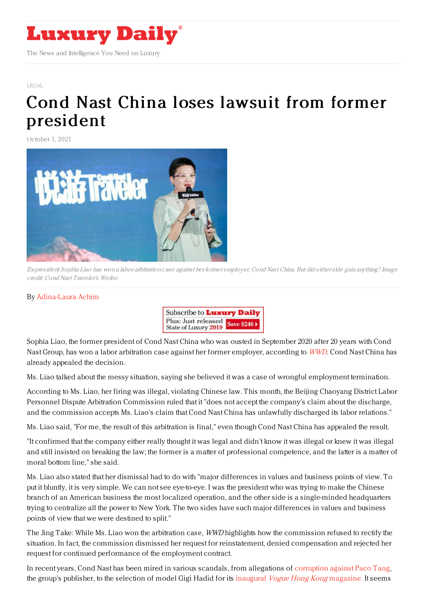

[LEGAL](https://www.luxurydaily.com/category/sectors/legal-and-privacy/)

## Cond Nast China loses lawsuit from former [president](https://www.luxurydaily.com/conde-nast-china-loses-lawsuit-from-former-president/)

October 1, 2021



Ex-president Sophia Liao has won <sup>a</sup> labor arbitration case against her former employer, Cond Nast China. But did eitherside gain anything? Image credit: Cond Nast Traveler's Weibo

## By [Adina-Laura](https://jingdaily.com/author/adina-laura/) Achim



Sophia Liao, the former president of Cond Nast China who was ousted in September 2020 after 20 years with Cond Nast Group, has won a labor arbitration case against her former employer, according to [WWD](https://wwd.com/business-news/media/ousted-conde-nast-china-president-wins-unlawful-dismissal-arbitration-1234950579/). Cond Nast China has already appealed the decision.

Ms. Liao talked about the messy situation, saying she believed it was a case of wrongful employment termination.

According to Ms. Liao, her firing was illegal, violating Chinese law. This month, the Beijing Chaoyang District Labor Personnel Dispute Arbitration Commission ruled that it "does not accept the company's claim about the discharge, and the commission accepts Ms. Liao's claim that Cond Nast China has unlawfully discharged its labor relations."

Ms. Liao said, "For me, the result of this arbitration is final," even though Cond Nast China has appealed the result.

"It confirmed that the company either really thought it was legal and didn't know it was illegal or knew it was illegal and still insisted on breaking the law; the former is a matter of professional competence, and the latter is a matter of moral bottom line," she said.

Ms. Liao also stated that her dismissal had to do with "major differences in values and business points of view. To put it bluntly, it is very simple. We can not see eye-to-eye. I was the president who was trying to make the Chinese branch of an American business the most localized operation, and the other side is a single-minded headquarters trying to centralize all the power to New York. The two sides have such major differences in values and business points of view that we were destined to split."

The Jing Take: While Ms. Liao won the arbitration case, WWD highlights how the commission refused to rectify the situation. In fact, the commission dismissed her request for reinstatement, denied compensation and rejected her request for continued performance of the employment contract.

In recent years, Cond Nast has been mired in various scandals, from allegations of [corruption](https://www.businessoffashion.com/news/china/paco-tang-departs-conde-nast-china) against Paco Tang, the group's publisher, to the selection of model Gigi Hadid for its inaugural Vogue Hong Kong [magazine.](https://jingdaily.com/vogue-hong-kong/) It seems